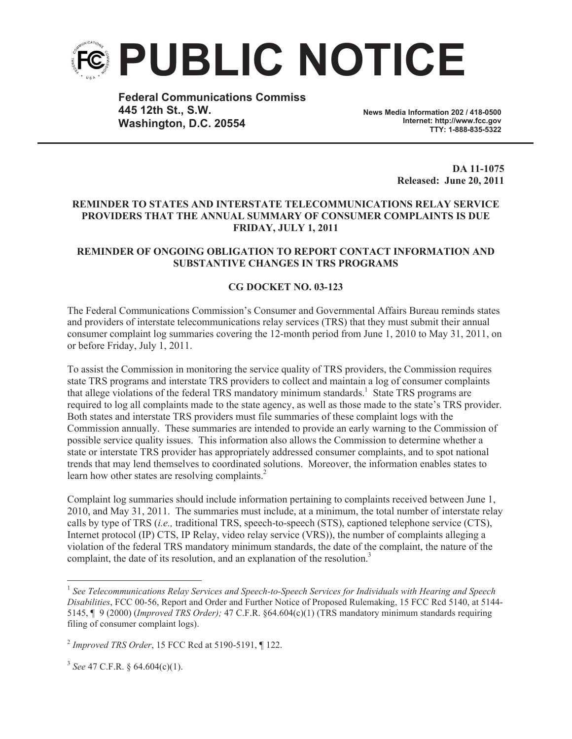

**Federal Communications Commiss 445 12th St., S.W. Washington, D.C. 20554**

**News Media Information 202 / 418-0500 Internet: http://www.fcc.gov TTY: 1-888-835-5322**

> **DA 11-1075 Released: June 20, 2011**

## **REMINDER TO STATES AND INTERSTATE TELECOMMUNICATIONS RELAY SERVICE PROVIDERS THAT THE ANNUAL SUMMARY OF CONSUMER COMPLAINTS IS DUE FRIDAY, JULY 1, 2011**

## **REMINDER OF ONGOING OBLIGATION TO REPORT CONTACT INFORMATION AND SUBSTANTIVE CHANGES IN TRS PROGRAMS**

## **CG DOCKET NO. 03-123**

The Federal Communications Commission's Consumer and Governmental Affairs Bureau reminds states and providers of interstate telecommunications relay services (TRS) that they must submit their annual consumer complaint log summaries covering the 12-month period from June 1, 2010 to May 31, 2011, on or before Friday, July 1, 2011.

To assist the Commission in monitoring the service quality of TRS providers, the Commission requires state TRS programs and interstate TRS providers to collect and maintain a log of consumer complaints that allege violations of the federal TRS mandatory minimum standards.<sup>1</sup> State TRS programs are required to log all complaints made to the state agency, as well as those made to the state's TRS provider. Both states and interstate TRS providers must file summaries of these complaint logs with the Commission annually. These summaries are intended to provide an early warning to the Commission of possible service quality issues. This information also allows the Commission to determine whether a state or interstate TRS provider has appropriately addressed consumer complaints, and to spot national trends that may lend themselves to coordinated solutions. Moreover, the information enables states to learn how other states are resolving complaints.<sup>2</sup>

Complaint log summaries should include information pertaining to complaints received between June 1, 2010, and May 31, 2011. The summaries must include, at a minimum, the total number of interstate relay calls by type of TRS (*i.e.,* traditional TRS, speech-to-speech (STS), captioned telephone service (CTS), Internet protocol (IP) CTS, IP Relay, video relay service (VRS)), the number of complaints alleging a violation of the federal TRS mandatory minimum standards, the date of the complaint, the nature of the complaint, the date of its resolution, and an explanation of the resolution.<sup>3</sup>

<sup>1</sup> *See Telecommunications Relay Services and Speech-to-Speech Services for Individuals with Hearing and Speech Disabilities*, FCC 00-56, Report and Order and Further Notice of Proposed Rulemaking, 15 FCC Rcd 5140, at 5144- 5145, ¶ 9 (2000) (*Improved TRS Order);* 47 C.F.R. §64.604(c)(1) (TRS mandatory minimum standards requiring filing of consumer complaint logs).

<sup>2</sup> *Improved TRS Order*, 15 FCC Rcd at 5190-5191, ¶ 122.

<sup>3</sup> *See* 47 C.F.R. § 64.604(c)(1).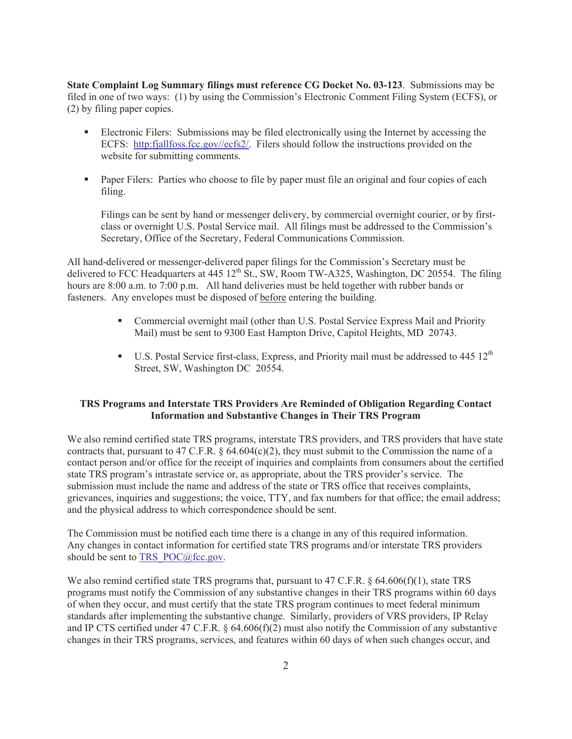**State Complaint Log Summary filings must reference CG Docket No. 03-123**. Submissions may be filed in one of two ways: (1) by using the Commission's Electronic Comment Filing System (ECFS), or (2) by filing paper copies.

- Electronic Filers: Submissions may be filed electronically using the Internet by accessing the ECFS: http:fjallfoss.fcc.gov//ecfs2/. Filers should follow the instructions provided on the website for submitting comments.
- Paper Filers: Parties who choose to file by paper must file an original and four copies of each filing.

Filings can be sent by hand or messenger delivery, by commercial overnight courier, or by firstclass or overnight U.S. Postal Service mail. All filings must be addressed to the Commission's Secretary, Office of the Secretary, Federal Communications Commission.

All hand-delivered or messenger-delivered paper filings for the Commission's Secretary must be delivered to FCC Headquarters at 445  $12^{th}$  St., SW, Room TW-A325, Washington, DC 20554. The filing hours are 8:00 a.m. to 7:00 p.m. All hand deliveries must be held together with rubber bands or fasteners. Any envelopes must be disposed of before entering the building.

- Commercial overnight mail (other than U.S. Postal Service Express Mail and Priority Mail) must be sent to 9300 East Hampton Drive, Capitol Heights, MD 20743.
- **•** U.S. Postal Service first-class, Express, and Priority mail must be addressed to  $445 \times 12^{th}$ Street, SW, Washington DC 20554.

## **TRS Programs and Interstate TRS Providers Are Reminded of Obligation Regarding Contact Information and Substantive Changes in Their TRS Program**

We also remind certified state TRS programs, interstate TRS providers, and TRS providers that have state contracts that, pursuant to 47 C.F.R. § 64.604(c)(2), they must submit to the Commission the name of a contact person and/or office for the receipt of inquiries and complaints from consumers about the certified state TRS program's intrastate service or, as appropriate, about the TRS provider's service. The submission must include the name and address of the state or TRS office that receives complaints, grievances, inquiries and suggestions; the voice, TTY, and fax numbers for that office; the email address; and the physical address to which correspondence should be sent.

The Commission must be notified each time there is a change in any of this required information. Any changes in contact information for certified state TRS programs and/or interstate TRS providers should be sent to TRS\_POC@fcc.gov.

We also remind certified state TRS programs that, pursuant to 47 C.F.R. § 64.606(f)(1), state TRS programs must notify the Commission of any substantive changes in their TRS programs within 60 days of when they occur, and must certify that the state TRS program continues to meet federal minimum standards after implementing the substantive change. Similarly, providers of VRS providers, IP Relay and IP CTS certified under 47 C.F.R. § 64.606(f)(2) must also notify the Commission of any substantive changes in their TRS programs, services, and features within 60 days of when such changes occur, and